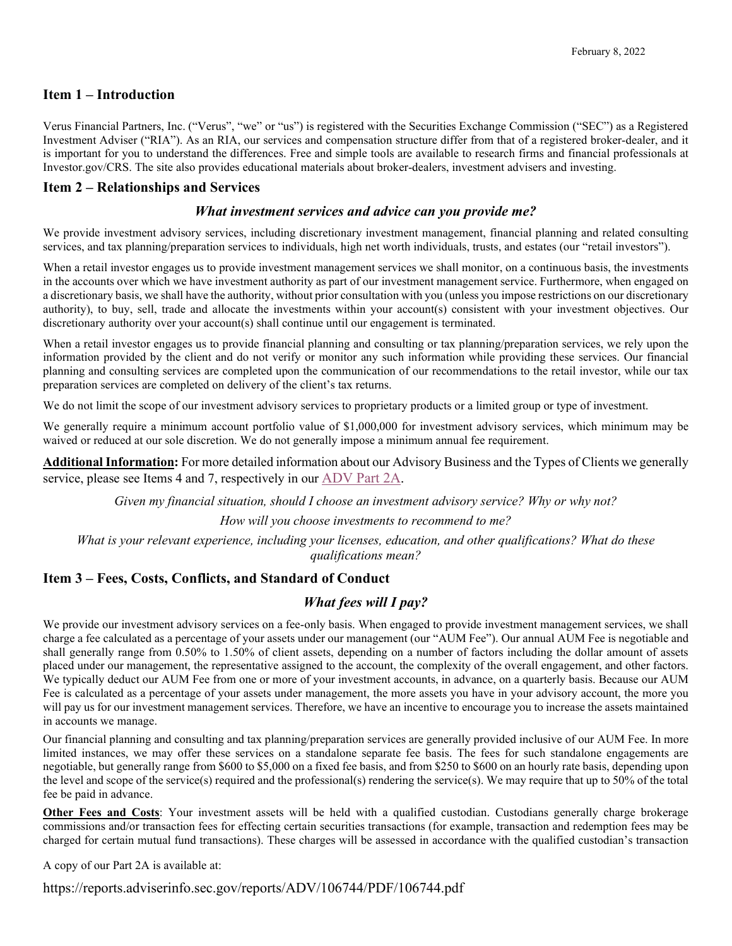### **Item 1 – Introduction**

Verus Financial Partners, Inc. ("Verus", "we" or "us") is registered with the Securities Exchange Commission ("SEC") as a Registered Investment Adviser ("RIA"). As an RIA, our services and compensation structure differ from that of a registered broker-dealer, and it is important for you to understand the differences. Free and simple tools are available to research firms and financial professionals at Investor.gov/CRS. The site also provides educational materials about broker-dealers, investment advisers and investing.

### **Item 2 – Relationships and Services**

#### *What investment services and advice can you provide me?*

We provide investment advisory services, including discretionary investment management, financial planning and related consulting services, and tax planning/preparation services to individuals, high net worth individuals, trusts, and estates (our "retail investors").

When a retail investor engages us to provide investment management services we shall monitor, on a continuous basis, the investments in the accounts over which we have investment authority as part of our investment management service. Furthermore, when engaged on a discretionary basis, we shall have the authority, without prior consultation with you (unless you impose restrictions on our discretionary authority), to buy, sell, trade and allocate the investments within your account(s) consistent with your investment objectives. Our discretionary authority over your account(s) shall continue until our engagement is terminated.

When a retail investor engages us to provide financial planning and consulting or tax planning/preparation services, we rely upon the information provided by the client and do not verify or monitor any such information while providing these services. Our financial planning and consulting services are completed upon the communication of our recommendations to the retail investor, while our tax preparation services are completed on delivery of the client's tax returns.

We do not limit the scope of our investment advisory services to proprietary products or a limited group or type of investment.

We generally require a minimum account portfolio value of \$1,000,000 for investment advisory services, which minimum may be waived or reduced at our sole discretion. We do not generally impose a minimum annual fee requirement.

**Additional Information:** For more detailed information about our Advisory Business and the Types of Clients we generally service, please see Items 4 and 7, respectively in our [ADV Part 2A.](https://files.adviserinfo.sec.gov/IAPD/Content/Common/crd_iapd_Brochure.aspx?BRCHR_VRSN_ID=744243)

*Given my financial situation, should I choose an investment advisory service? Why or why not?*

*How will you choose investments to recommend to me?*

*What is your relevant experience, including your licenses, education, and other qualifications? What do these qualifications mean?*

## **Item 3 – Fees, Costs, Conflicts, and Standard of Conduct**

#### *What fees will I pay?*

We provide our investment advisory services on a fee-only basis. When engaged to provide investment management services, we shall charge a fee calculated as a percentage of your assets under our management (our "AUM Fee"). Our annual AUM Fee is negotiable and shall generally range from 0.50% to 1.50% of client assets, depending on a number of factors including the dollar amount of assets placed under our management, the representative assigned to the account, the complexity of the overall engagement, and other factors. We typically deduct our AUM Fee from one or more of your investment accounts, in advance, on a quarterly basis. Because our AUM Fee is calculated as a percentage of your assets under management, the more assets you have in your advisory account, the more you will pay us for our investment management services. Therefore, we have an incentive to encourage you to increase the assets maintained in accounts we manage.

Our financial planning and consulting and tax planning/preparation services are generally provided inclusive of our AUM Fee. In more limited instances, we may offer these services on a standalone separate fee basis. The fees for such standalone engagements are negotiable, but generally range from \$600 to \$5,000 on a fixed fee basis, and from \$250 to \$600 on an hourly rate basis, depending upon the level and scope of the service(s) required and the professional(s) rendering the service(s). We may require that up to 50% of the total fee be paid in advance.

**Other Fees and Costs**: Your investment assets will be held with a qualified custodian. Custodians generally charge brokerage commissions and/or transaction fees for effecting certain securities transactions (for example, transaction and redemption fees may be charged for certain mutual fund transactions). These charges will be assessed in accordance with the qualified custodian's transaction

A copy of our Part 2A is available at:

https://reports.adviserinfo.sec.gov/reports/ADV/106744/PDF/106744.pdf